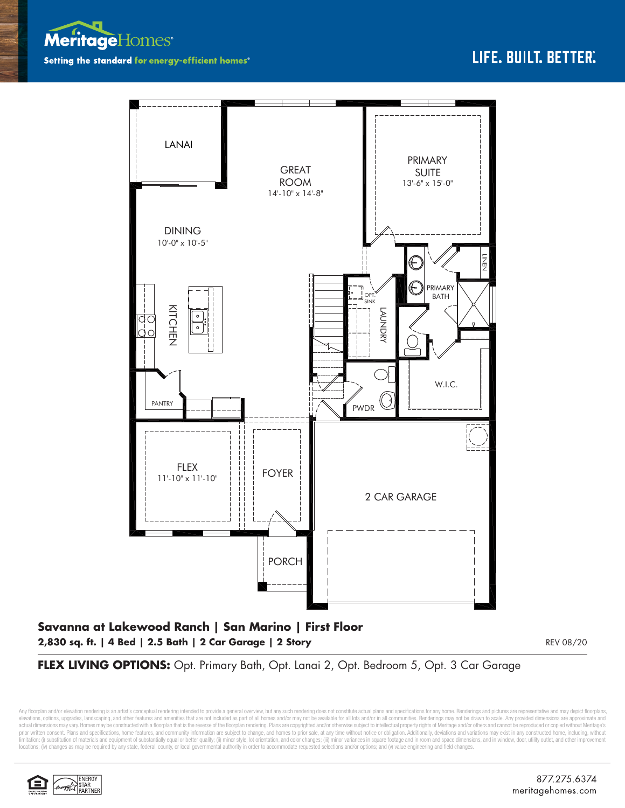



## **Savanna at Lakewood Ranch | San Marino | First Floor 2,830 sq. ft. | 4 Bed | 2.5 Bath | 2 Car Garage | 2 Story**

REV 08/20

FLEX LIVING OPTIONS: Opt. Primary Bath, Opt. Lanai 2, Opt. Bedroom 5, Opt. 3 Car Garage

Any floorplan and/or elevation rendering is an artist's conceptual rendering intended to provide a general overview, but any such rendering does not constitute actual plans and specifications for any home. Renderings and p elevations, options, upgrades, landscaping, and other features and amenities that are not included as part of all homes and/or may not be available for all lots and/or in all communities. Renderings may not be drawn to sca limitation: (i) substitution of materials and equipment of substantially equal or better quality; (ii) minor style, lot orientation, and color changes; (iii) minor variances in square footage and in room and space dimensio locations; (iv) changes as may be required by any state, federal, county, or local governmental authority in order to accommodate requested selections and/or options; and (v) value engineering and field changes.

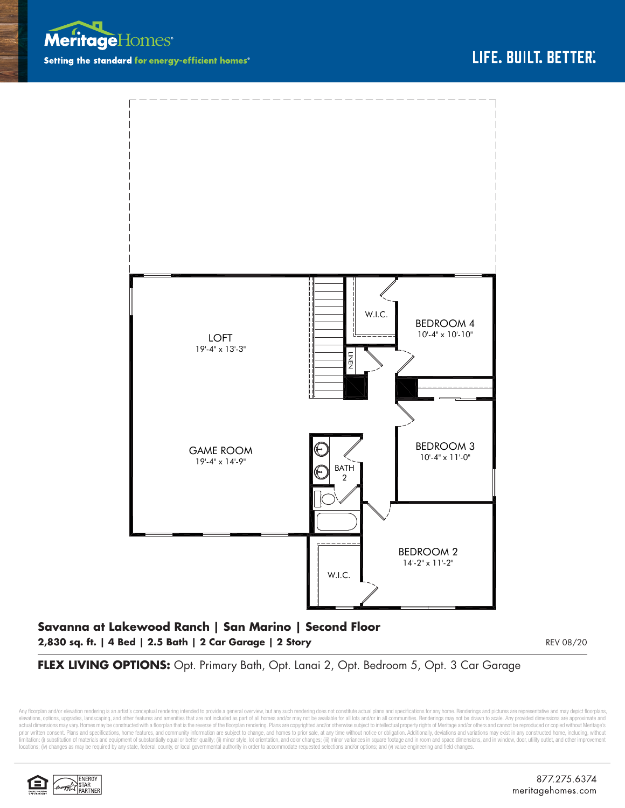



## **Savanna at Lakewood Ranch | San Marino | Second Floor 2,830 sq. ft. | 4 Bed | 2.5 Bath | 2 Car Garage | 2 Story**

REV 08/20

## FLEX LIVING OPTIONS: Opt. Primary Bath, Opt. Lanai 2, Opt. Bedroom 5, Opt. 3 Car Garage

Any floorplan and/or elevation rendering is an artist's conceptual rendering intended to provide a general overview, but any such rendering does not constitute actual plans and specifications for any home. Renderings and p elevations, options, upgrades, landscaping, and other features and amenities that are not included as part of all homes and/or may not be available for all lots and/or in all communities. Renderings may not be drawn to sca limitation: (i) substitution of materials and equipment of substantially equal or better quality; (ii) minor style, lot orientation, and color changes; (iii) minor variances in square footage and in room and space dimensio locations; (iv) changes as may be required by any state, federal, county, or local governmental authority in order to accommodate requested selections and/or options; and (v) value engineering and field changes.